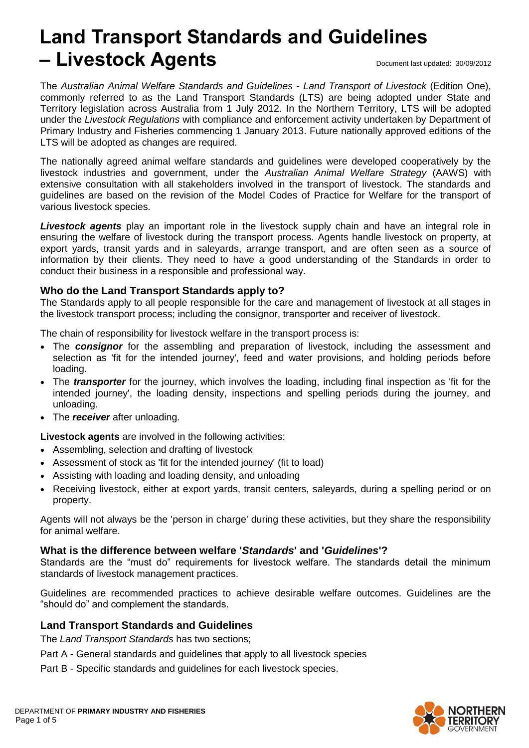# **Land Transport Standards and Guidelines – Livestock Agents** Document last updated: 30/09/2012

The *Australian Animal Welfare Standards and Guidelines - Land Transport of Livestock* (Edition One), commonly referred to as the Land Transport Standards (LTS) are being adopted under State and Territory legislation across Australia from 1 July 2012. In the Northern Territory, LTS will be adopted under the *Livestock Regulations* with compliance and enforcement activity undertaken by Department of Primary Industry and Fisheries commencing 1 January 2013. Future nationally approved editions of the LTS will be adopted as changes are required.

The nationally agreed animal welfare standards and guidelines were developed cooperatively by the livestock industries and government, under the *Australian Animal Welfare Strategy* (AAWS) with extensive consultation with all stakeholders involved in the transport of livestock. The standards and guidelines are based on the revision of the Model Codes of Practice for Welfare for the transport of various livestock species.

*Livestock agents* play an important role in the livestock supply chain and have an integral role in ensuring the welfare of livestock during the transport process. Agents handle livestock on property, at export yards, transit yards and in saleyards, arrange transport, and are often seen as a source of information by their clients. They need to have a good understanding of the Standards in order to conduct their business in a responsible and professional way.

# **Who do the Land Transport Standards apply to?**

The Standards apply to all people responsible for the care and management of livestock at all stages in the livestock transport process; including the consignor, transporter and receiver of livestock.

The chain of responsibility for livestock welfare in the transport process is:

- The **consignor** for the assembling and preparation of livestock, including the assessment and selection as 'fit for the intended journey', feed and water provisions, and holding periods before loading.
- The *transporter* for the journey, which involves the loading, including final inspection as 'fit for the intended journey', the loading density, inspections and spelling periods during the journey, and unloading.
- The *receiver* after unloading.

**Livestock agents** are involved in the following activities:

- Assembling, selection and drafting of livestock
- Assessment of stock as 'fit for the intended journey' (fit to load)
- Assisting with loading and loading density, and unloading
- Receiving livestock, either at export yards, transit centers, saleyards, during a spelling period or on property.

Agents will not always be the 'person in charge' during these activities, but they share the responsibility for animal welfare.

#### **What is the difference between welfare '***Standards***' and '***Guidelines***'?**

Standards are the "must do" requirements for livestock welfare. The standards detail the minimum standards of livestock management practices.

Guidelines are recommended practices to achieve desirable welfare outcomes. Guidelines are the "should do" and complement the standards.

# **Land Transport Standards and Guidelines**

The *Land Transport Standards* has two sections;

- Part A General standards and guidelines that apply to all livestock species
- Part B Specific standards and guidelines for each livestock species.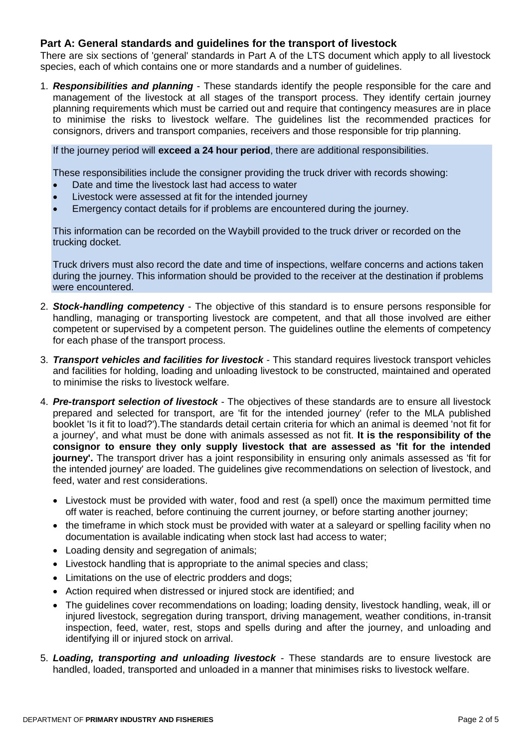#### **Part A: General standards and guidelines for the transport of livestock**

There are six sections of 'general' standards in Part A of the LTS document which apply to all livestock species, each of which contains one or more standards and a number of guidelines.

1. *Responsibilities and planning* - These standards identify the people responsible for the care and management of the livestock at all stages of the transport process. They identify certain journey planning requirements which must be carried out and require that contingency measures are in place to minimise the risks to livestock welfare. The guidelines list the recommended practices for consignors, drivers and transport companies, receivers and those responsible for trip planning.

If the journey period will **exceed a 24 hour period**, there are additional responsibilities.

These responsibilities include the consigner providing the truck driver with records showing:

- Date and time the livestock last had access to water
- Livestock were assessed at fit for the intended journey
- Emergency contact details for if problems are encountered during the journey.

This information can be recorded on the Waybill provided to the truck driver or recorded on the trucking docket.

Truck drivers must also record the date and time of inspections, welfare concerns and actions taken during the journey. This information should be provided to the receiver at the destination if problems were encountered.

- 2. *Stock-handling competenc***y** The objective of this standard is to ensure persons responsible for handling, managing or transporting livestock are competent, and that all those involved are either competent or supervised by a competent person. The guidelines outline the elements of competency for each phase of the transport process.
- 3. *Transport vehicles and facilities for livestock* This standard requires livestock transport vehicles and facilities for holding, loading and unloading livestock to be constructed, maintained and operated to minimise the risks to livestock welfare.
- 4. *Pre-transport selection of livestock* The objectives of these standards are to ensure all livestock prepared and selected for transport, are 'fit for the intended journey' (refer to the MLA published booklet 'Is it fit to load?').The standards detail certain criteria for which an animal is deemed 'not fit for a journey', and what must be done with animals assessed as not fit. **It is the responsibility of the consignor to ensure they only supply livestock that are assessed as 'fit for the intended journey'.** The transport driver has a joint responsibility in ensuring only animals assessed as 'fit for the intended journey' are loaded. The guidelines give recommendations on selection of livestock, and feed, water and rest considerations.
	- Livestock must be provided with water, food and rest (a spell) once the maximum permitted time off water is reached, before continuing the current journey, or before starting another journey;
	- the timeframe in which stock must be provided with water at a saleyard or spelling facility when no documentation is available indicating when stock last had access to water;
	- Loading density and segregation of animals:
	- Livestock handling that is appropriate to the animal species and class;
	- Limitations on the use of electric prodders and dogs;
	- Action required when distressed or injured stock are identified; and
	- The guidelines cover recommendations on loading; loading density, livestock handling, weak, ill or injured livestock, segregation during transport, driving management, weather conditions, in-transit inspection, feed, water, rest, stops and spells during and after the journey, and unloading and identifying ill or injured stock on arrival.
- 5. *Loading, transporting and unloading livestock* These standards are to ensure livestock are handled, loaded, transported and unloaded in a manner that minimises risks to livestock welfare.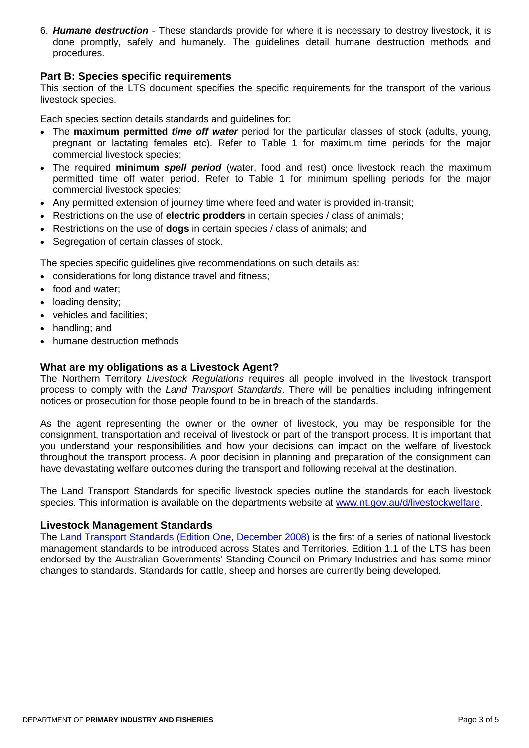6. *Humane destruction* - These standards provide for where it is necessary to destroy livestock, it is done promptly, safely and humanely. The guidelines detail humane destruction methods and procedures.

#### **Part B: Species specific requirements**

This section of the LTS document specifies the specific requirements for the transport of the various livestock species.

Each species section details standards and guidelines for:

- The **maximum permitted** *time off water* period for the particular classes of stock (adults, young, pregnant or lactating females etc). Refer to Table 1 for maximum time periods for the major commercial livestock species;
- The required **minimum** *spell period* (water, food and rest) once livestock reach the maximum permitted time off water period. Refer to Table 1 for minimum spelling periods for the major commercial livestock species;
- Any permitted extension of journey time where feed and water is provided in-transit;
- Restrictions on the use of **electric prodders** in certain species / class of animals;
- Restrictions on the use of **dogs** in certain species / class of animals; and
- Segregation of certain classes of stock.

The species specific guidelines give recommendations on such details as:

- considerations for long distance travel and fitness;
- food and water;
- loading density;
- vehicles and facilities;
- handling; and
- humane destruction methods

#### **What are my obligations as a Livestock Agent?**

The Northern Territory *Livestock Regulations* requires all people involved in the livestock transport process to comply with the *Land Transport Standards*. There will be penalties including infringement notices or prosecution for those people found to be in breach of the standards.

As the agent representing the owner or the owner of livestock, you may be responsible for the consignment, transportation and receival of livestock or part of the transport process. It is important that you understand your responsibilities and how your decisions can impact on the welfare of livestock throughout the transport process. A poor decision in planning and preparation of the consignment can have devastating welfare outcomes during the transport and following receival at the destination.

The Land Transport Standards for specific livestock species outline the standards for each livestock species. This information is available on the departments website at [www.nt.gov.au/d/livestockwelfare.](http://www.nt.gov.au/d/livestockwelfare)

#### **Livestock Management Standards**

The [Land Transport Standards](http://www.animalwelfarestandards.net.au/land-transport/) (Edition One, December 2008) is the first of a series of national livestock management standards to be introduced across States and Territories. Edition 1.1 of the LTS has been endorsed by the Australian Governments' Standing Council on Primary Industries and has some minor changes to standards. Standards for cattle, sheep and horses are currently being developed.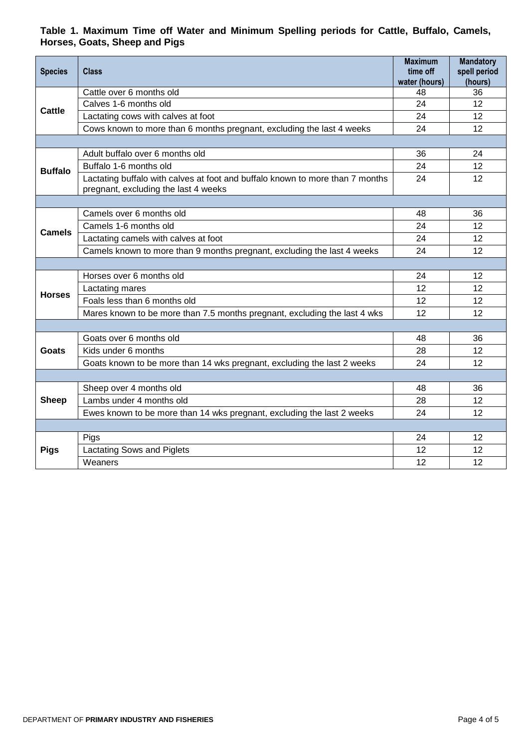### **Table 1. Maximum Time off Water and Minimum Spelling periods for Cattle, Buffalo, Camels, Horses, Goats, Sheep and Pigs**

| <b>Species</b> | Class                                                                                                                 | <b>Maximum</b><br>time off | <b>Mandatory</b><br>spell period |
|----------------|-----------------------------------------------------------------------------------------------------------------------|----------------------------|----------------------------------|
|                |                                                                                                                       | water (hours)              | (hours)                          |
| Cattle         | Cattle over 6 months old                                                                                              | 48                         | 36                               |
|                | Calves 1-6 months old                                                                                                 | 24                         | 12                               |
|                | Lactating cows with calves at foot                                                                                    | 24                         | 12                               |
|                | Cows known to more than 6 months pregnant, excluding the last 4 weeks                                                 | 24                         | 12                               |
|                |                                                                                                                       |                            |                                  |
| <b>Buffalo</b> | Adult buffalo over 6 months old                                                                                       | 36                         | 24                               |
|                | Buffalo 1-6 months old                                                                                                | 24                         | 12                               |
|                | Lactating buffalo with calves at foot and buffalo known to more than 7 months<br>pregnant, excluding the last 4 weeks | 24                         | 12                               |
|                |                                                                                                                       |                            |                                  |
| <b>Camels</b>  | Camels over 6 months old                                                                                              | 48                         | 36                               |
|                | Camels 1-6 months old                                                                                                 | 24                         | 12                               |
|                | Lactating camels with calves at foot                                                                                  | 24                         | 12                               |
|                | Camels known to more than 9 months pregnant, excluding the last 4 weeks                                               | 24                         | 12                               |
|                |                                                                                                                       |                            |                                  |
| <b>Horses</b>  | Horses over 6 months old                                                                                              | 24                         | 12                               |
|                | Lactating mares                                                                                                       | 12                         | 12                               |
|                | Foals less than 6 months old                                                                                          | 12                         | 12                               |
|                | Mares known to be more than 7.5 months pregnant, excluding the last 4 wks                                             | 12                         | 12                               |
|                |                                                                                                                       |                            |                                  |
| Goats          | Goats over 6 months old                                                                                               | 48                         | 36                               |
|                | Kids under 6 months                                                                                                   | 28                         | 12                               |
|                | Goats known to be more than 14 wks pregnant, excluding the last 2 weeks                                               | 24                         | 12                               |
|                |                                                                                                                       |                            |                                  |
| <b>Sheep</b>   | Sheep over 4 months old                                                                                               | 48                         | 36                               |
|                | Lambs under 4 months old                                                                                              | 28                         | 12                               |
|                | Ewes known to be more than 14 wks pregnant, excluding the last 2 weeks                                                | 24                         | 12                               |
|                |                                                                                                                       |                            |                                  |
| <b>Pigs</b>    | Pigs                                                                                                                  | 24                         | 12                               |
|                | Lactating Sows and Piglets                                                                                            | 12                         | 12                               |
|                | Weaners                                                                                                               | 12                         | 12                               |